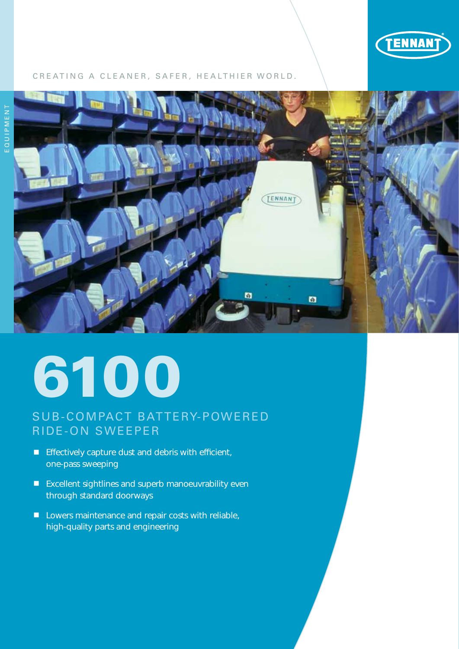

#### CREATING A CLEANER, SAFER, HEALTHIER WORLD.



# 6100

## SUB-COMPACT BATTERY-POWERED RIDE-ON SWEEPER

- **Effectively capture dust and debris with efficient,** one-pass sweeping
- Excellent sightlines and superb manoeuvrability even through standard doorways
- **Lowers maintenance and repair costs with reliable,** high-quality parts and engineering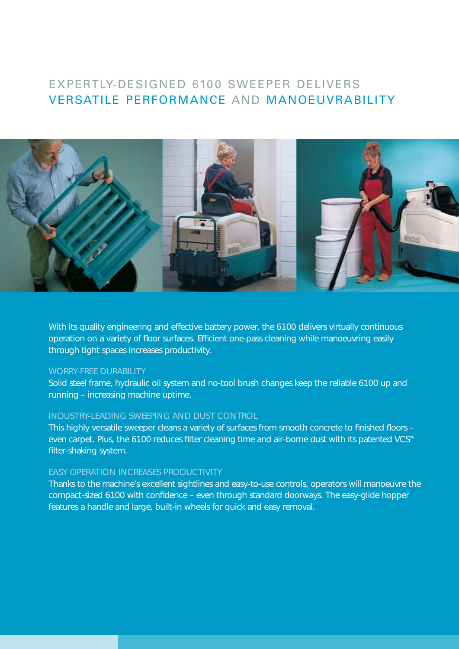## EXPERTIY-DESIGNED 6100 SWEEPER DELIVERS VERSATILE PERFORMANCE AND MANOEUVRABILITY



With its quality engineering and effective battery power, the 6100 delivers virtually continuous operation on a variety of floor surfaces. Efficient one-pass cleaning while manoeuvring easily through tight spaces increases productivity.

#### WORRY-FREE DURABILITY

Solid steel frame, hydraulic oil system and no-tool brush changes keep the reliable 6100 up and running – increasing machine uptime.

#### INDUSTRY-LEADING SWEEPING AND DUST CONTROL

This highly versatile sweeper cleans a variety of surfaces from smooth concrete to finished floors – even carpet. Plus, the 6100 reduces filter cleaning time and air-borne dust with its patented VCS® filter-shaking system.

#### EASY OPERATION INCREASES PRODUCTIVITY

Thanks to the machine's excellent sightlines and easy-to-use controls, operators will manoeuvre the compact-sized 6100 with confidence – even through standard doorways. The easy-glide hopper features a handle and large, built-in wheels for quick and easy removal.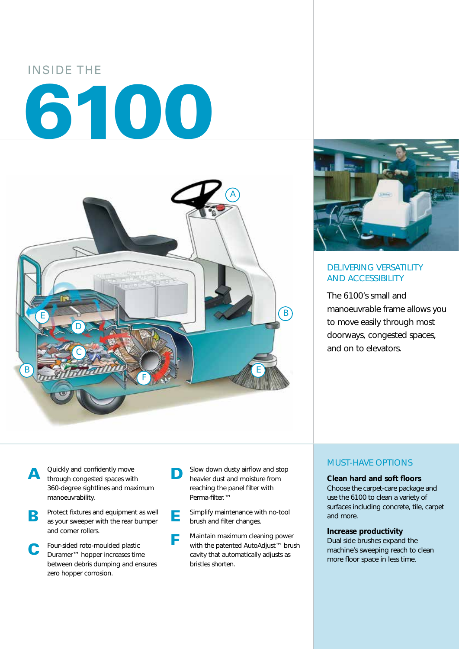# INSIDE THE 6100





#### DELIVERING VERSATILITY AND ACCESSIBILITY

The 6100's small and manoeuvrable frame allows you to move easily through most doorways, congested spaces, and on to elevators.

- A Quickly and confidently move<br>through congested spaces with 360-degree sightlines and maximum manoeuvrability.
- **B** Protect fixtures and equipment as well as your sweeper with the rear bumper and corner rollers.
- C Four-sided roto-moulded plastic Duramer™ hopper increases time between debris dumping and ensures zero hopper corrosion.
- **D** Slow down dusty airflow and stop heavier dust and moisture from reaching the panel filter with Perma-filter.™
- **E** Simplify maintenance with no-tool brush and filter changes.
- F Maintain maximum cleaning power with the patented AutoAdjust™ brush cavity that automatically adjusts as bristles shorten.

#### MUST-HAVE OPTIONS

#### **Clean hard and soft floors**

Choose the carpet-care package and use the 6100 to clean a variety of surfaces including concrete, tile, carpet and more.

#### **Increase productivity**

Dual side brushes expand the machine's sweeping reach to clean more floor space in less time.